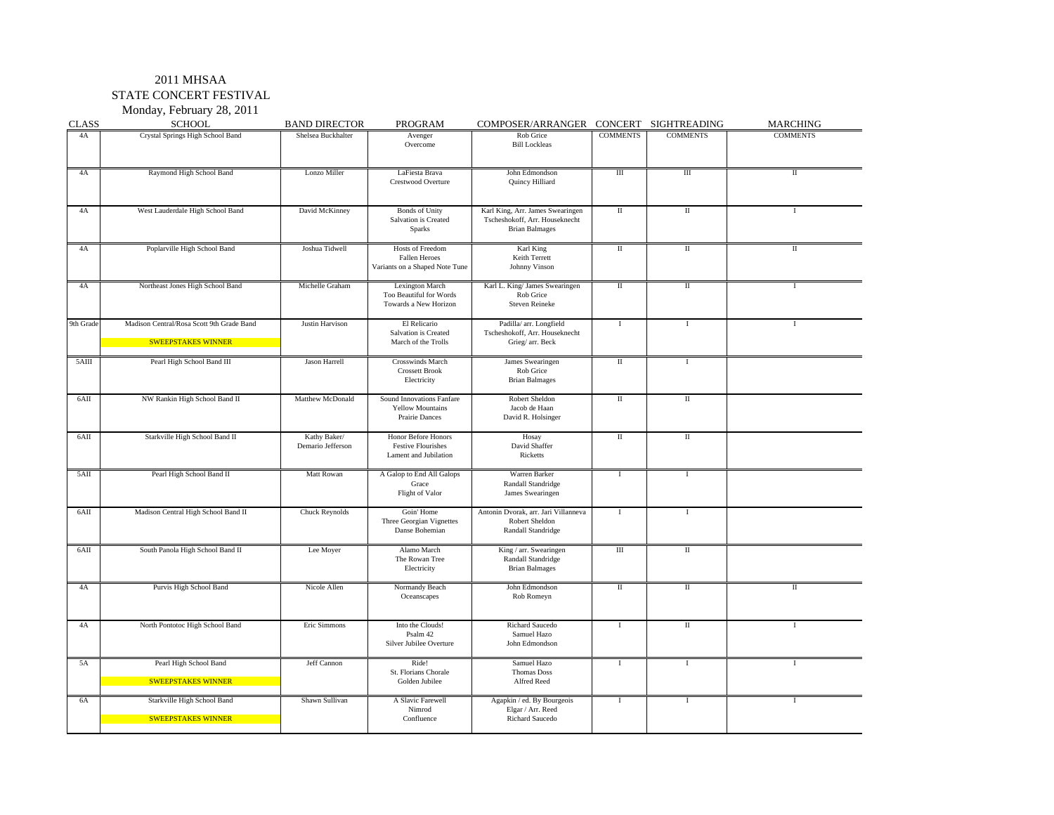Monday, February 28, 2011

| <b>CLASS</b> | <b>SCHOOL</b>                                                          | <b>BAND DIRECTOR</b>              | PROGRAM                                                                    | COMPOSER/ARRANGER CONCERT SIGHTREADING                                                      |                         |                         | <b>MARCHING</b> |
|--------------|------------------------------------------------------------------------|-----------------------------------|----------------------------------------------------------------------------|---------------------------------------------------------------------------------------------|-------------------------|-------------------------|-----------------|
| 4A           | Crystal Springs High School Band                                       | Shelsea Buckhalter                | Avenger<br>Overcome                                                        | Rob Grice<br><b>Bill Lockleas</b>                                                           | <b>COMMENTS</b>         | <b>COMMENTS</b>         | <b>COMMENTS</b> |
| 4A           | Raymond High School Band                                               | Lonzo Miller                      | LaFiesta Brava<br>Crestwood Overture                                       | John Edmondson<br>Quincy Hilliard                                                           | $\overline{III}$        | $\overline{III}$        | $\mathbf{I}$    |
| 4A           | West Lauderdale High School Band                                       | David McKinney                    | <b>Bonds</b> of Unity<br>Salvation is Created<br>Sparks                    | Karl King, Arr. James Swearingen<br>Tscheshokoff, Arr. Houseknecht<br><b>Brian Balmages</b> | $\mathbb{I}$            | $\mathbb{I}$            | $\bf{I}$        |
| 4A           | Poplarville High School Band                                           | Joshua Tidwell                    | Hosts of Freedom<br>Fallen Heroes<br>Variants on a Shaped Note Tune        | Karl King<br>Keith Terrett<br><b>Johnny Vinson</b>                                          | П                       | $\rm II$                | П               |
| 4A           | Northeast Jones High School Band                                       | Michelle Graham                   | <b>Lexington March</b><br>Too Beautiful for Words<br>Towards a New Horizon | Karl L. King/ James Swearingen<br>Rob Grice<br><b>Steven Reineke</b>                        | Π                       | П                       | $\bf{I}$        |
| 9th Grade    | Madison Central/Rosa Scott 9th Grade Band<br><b>SWEEPSTAKES WINNER</b> | Justin Harvison                   | El Relicario<br>Salvation is Created<br>March of the Trolls                | Padilla/ arr. Longfield<br>Tscheshokoff, Arr. Houseknecht<br>Grieg/ arr. Beck               | $\bf{I}$                | $\mathbf I$             | $\bf{I}$        |
| $5$ AIII     | Pearl High School Band III                                             | <b>Jason Harrell</b>              | <b>Crosswinds March</b><br><b>Crossett Brook</b><br>Electricity            | James Swearingen<br>Rob Grice<br><b>Brian Balmages</b>                                      | П                       | $\mathbf{I}$            |                 |
| 6AII         | NW Rankin High School Band II                                          | Matthew McDonald                  | Sound Innovations Fanfare<br><b>Yellow Mountains</b><br>Prairie Dances     | Robert Sheldon<br>Jacob de Haan<br>David R. Holsinger                                       | $\rm II$                | $\rm II$                |                 |
| $6$ AII      | Starkville High School Band II                                         | Kathy Baker/<br>Demario Jefferson | Honor Before Honors<br><b>Festive Flourishes</b><br>Lament and Jubilation  | Hosay<br>David Shaffer<br>Ricketts                                                          | $\overline{\mathbf{u}}$ | $\overline{\mathbf{u}}$ |                 |
| $5$ AII      | Pearl High School Band II                                              | Matt Rowan                        | A Galop to End All Galops<br>Grace<br>Flight of Valor                      | Warren Barker<br>Randall Standridge<br>James Swearingen                                     | $\bf{I}$                | $\mathbf I$             |                 |
| 6AII         | Madison Central High School Band II                                    | Chuck Reynolds                    | Goin' Home<br>Three Georgian Vignettes<br>Danse Bohemian                   | Antonin Dvorak, arr. Jari Villanneva<br>Robert Sheldon<br>Randall Standridge                | $\bf{I}$                | $\bf{I}$                |                 |
| 6AII         | South Panola High School Band II                                       | Lee Moyer                         | Alamo March<br>The Rowan Tree<br>Electricity                               | King / arr. Swearingen<br>Randall Standridge<br><b>Brian Balmages</b>                       | Ш                       | $\rm II$                |                 |
| 4A           | Purvis High School Band                                                | Nicole Allen                      | Normandy Beach<br>Oceanscapes                                              | John Edmondson<br>Rob Romeyn                                                                | $\rm II$                | $\rm II$                | $\rm{II}$       |
| 4A           | North Pontotoc High School Band                                        | Eric Simmons                      | Into the Clouds!<br>Psalm 42<br>Silver Jubilee Overture                    | <b>Richard Saucedo</b><br>Samuel Hazo<br>John Edmondson                                     | $\bf{I}$                | $\rm{II}$               | $\bf{I}$        |
| 5A           | Pearl High School Band<br><b>SWEEPSTAKES WINNER</b>                    | Jeff Cannon                       | Ride!<br>St. Florians Chorale<br>Golden Jubilee                            | Samuel Hazo<br>Thomas Doss<br>Alfred Reed                                                   | $\mathbf{I}$            | $\mathbf I$             | $\mathbf{I}$    |
| 6A           | Starkville High School Band<br><b>SWEEPSTAKES WINNER</b>               | Shawn Sullivan                    | A Slavic Farewell<br>Nimrod<br>Confluence                                  | Agapkin / ed. By Bourgeois<br>Elgar / Arr. Reed<br>Richard Saucedo                          | $\mathbf{I}$            | $\mathbf I$             | $\mathbf{I}$    |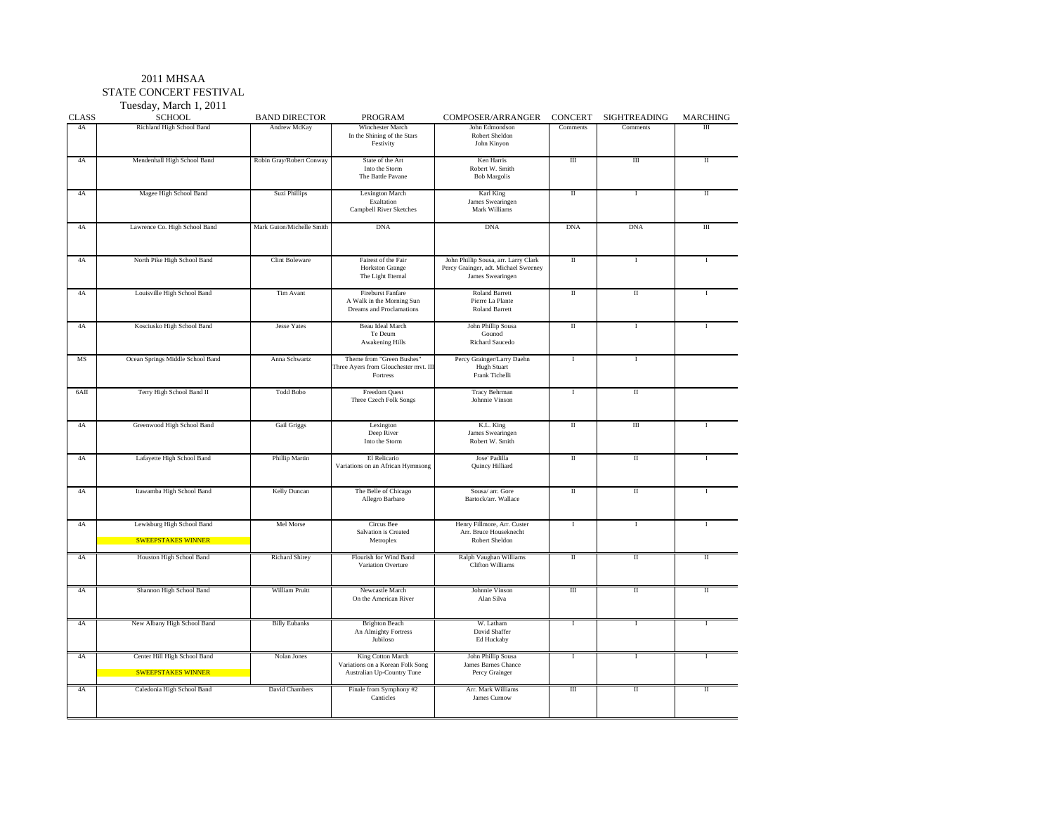Tuesday, March 1, 2011

| <b>CLASS</b>  | <b>SCHOOL</b>                                             | <b>BAND DIRECTOR</b>      | <b>PROGRAM</b>                                                                      | COMPOSER/ARRANGER                                                                                | <b>CONCERT</b>      | <b>SIGHTREADING</b>     | MARCHING |
|---------------|-----------------------------------------------------------|---------------------------|-------------------------------------------------------------------------------------|--------------------------------------------------------------------------------------------------|---------------------|-------------------------|----------|
| 4A            | Richland High School Band                                 | Andrew McKay              | <b>Winchester March</b><br>In the Shining of the Stars<br>Festivity                 | John Edmondson<br>Robert Sheldon<br>John Kinyon                                                  | Comments            | Comments                | Ш        |
| 4A            | Mendenhall High School Band                               | Robin Gray/Robert Conway  | State of the Art<br>Into the Storm<br>The Battle Pavane                             | Ken Harris<br>Robert W. Smith<br><b>Bob Margolis</b>                                             | $\rm III$           | $\rm III$               | $\rm II$ |
| 4A            | Magee High School Band                                    | Suzi Phillips             | Lexington March<br>Exaltation<br>Campbell River Sketches                            | Karl King<br>James Swearingen<br>Mark Williams                                                   | П                   | Ι                       | П        |
| 4A            | Lawrence Co. High School Band                             | Mark Guion/Michelle Smith | <b>DNA</b>                                                                          | <b>DNA</b>                                                                                       | <b>DNA</b>          | <b>DNA</b>              | Ш        |
| 4A            | North Pike High School Band                               | <b>Clint Boleware</b>     | Fairest of the Fair<br>Horkston Grange<br>The Light Eternal                         | John Phillip Sousa, arr. Larry Clark<br>Percy Grainger, adt. Michael Sweeney<br>James Swearingen | $\overline{\rm II}$ | I                       |          |
| 4A            | Louisville High School Band                               | Tim Avant                 | Fireburst Fanfare<br>A Walk in the Morning Sun<br>Dreams and Proclamations          | Roland Barrett<br>Pierre La Plante<br><b>Roland Barrett</b>                                      | $\rm II$            | $\rm{II}$               | T        |
| 4A            | Kosciusko High School Band                                | Jesse Yates               | Beau Ideal March<br>Te Deum<br><b>Awakening Hills</b>                               | John Phillip Sousa<br>Gounod<br>Richard Saucedo                                                  | П                   | Ι                       | T        |
| MS            | Ocean Springs Middle School Band                          | Anna Schwartz             | Theme from "Green Bushes"<br>Three Ayers from Glouchester mvt. III<br>Fortress      | Percy Grainger/Larry Daehn<br>Hugh Stuart<br>Frank Tichelli                                      | $\mathbf I$         | $\mathbf I$             |          |
| $6$ AII       | Terry High School Band II                                 | <b>Todd Bobo</b>          | Freedom Quest<br>Three Czech Folk Songs                                             | Tracy Behrman<br>Johnnie Vinson                                                                  | Ι                   | Π                       |          |
| 4A            | Greenwood High School Band                                | <b>Gail Griggs</b>        | Lexington<br>Deep River<br>Into the Storm                                           | K.L. King<br>James Swearingen<br>Robert W. Smith                                                 | Π                   | Ш                       |          |
| 4A            | Lafayette High School Band                                | Phillip Martin            | El Relicario<br>Variations on an African Hymnsong                                   | Jose' Padilla<br>Quincy Hilliard                                                                 | $\rm II$            | $\rm II$                | T        |
| $4\mathrm{A}$ | Itawamba High School Band                                 | Kelly Duncan              | The Belle of Chicago<br>Allegro Barbaro                                             | Sousa/ arr. Gore<br>Bartock/arr. Wallace                                                         | $\rm II$            | $\rm II$                |          |
| 4A            | Lewisburg High School Band<br><b>SWEEPSTAKES WINNER</b>   | Mel Morse                 | Circus Bee<br>Salvation is Created<br>Metroplex                                     | Henry Fillmore, Arr. Custer<br>Arr. Bruce Houseknecht<br>Robert Sheldon                          | 1                   | I                       |          |
| 4A            | Houston High School Band                                  | <b>Richard Shirey</b>     | Flourish for Wind Band<br>Variation Overture                                        | Ralph Vaughan Williams<br><b>Clifton Williams</b>                                                | $\rm{II}$           | $\overline{\mathbf{H}}$ | Π        |
| 4A            | Shannon High School Band                                  | William Pruitt            | Newcastle March<br>On the American River                                            | Johnnie Vinson<br>Alan Silva                                                                     | $\rm III$           | $\rm II$                | $\rm II$ |
| 4A            | New Albany High School Band                               | <b>Billy Eubanks</b>      | <b>Brighton Beach</b><br>An Almighty Fortress<br>Jubiloso                           | W. Latham<br>David Shaffer<br>Ed Huckaby                                                         | I                   | Ι                       | T        |
| 4A            | Center Hill High School Band<br><b>SWEEPSTAKES WINNER</b> | Nolan Jones               | King Cotton March<br>Variations on a Korean Folk Song<br>Australian Up-Country Tune | John Phillip Sousa<br>James Barnes Chance<br>Percy Grainger                                      | $\mathbf I$         | $\mathbf I$             |          |
| 4A            | Caledonia High School Band                                | David Chambers            | Finale from Symphony #2<br>Canticles                                                | Arr. Mark Williams<br>James Curnow                                                               | $\overline{III}$    | $\rm{II}$               | Π        |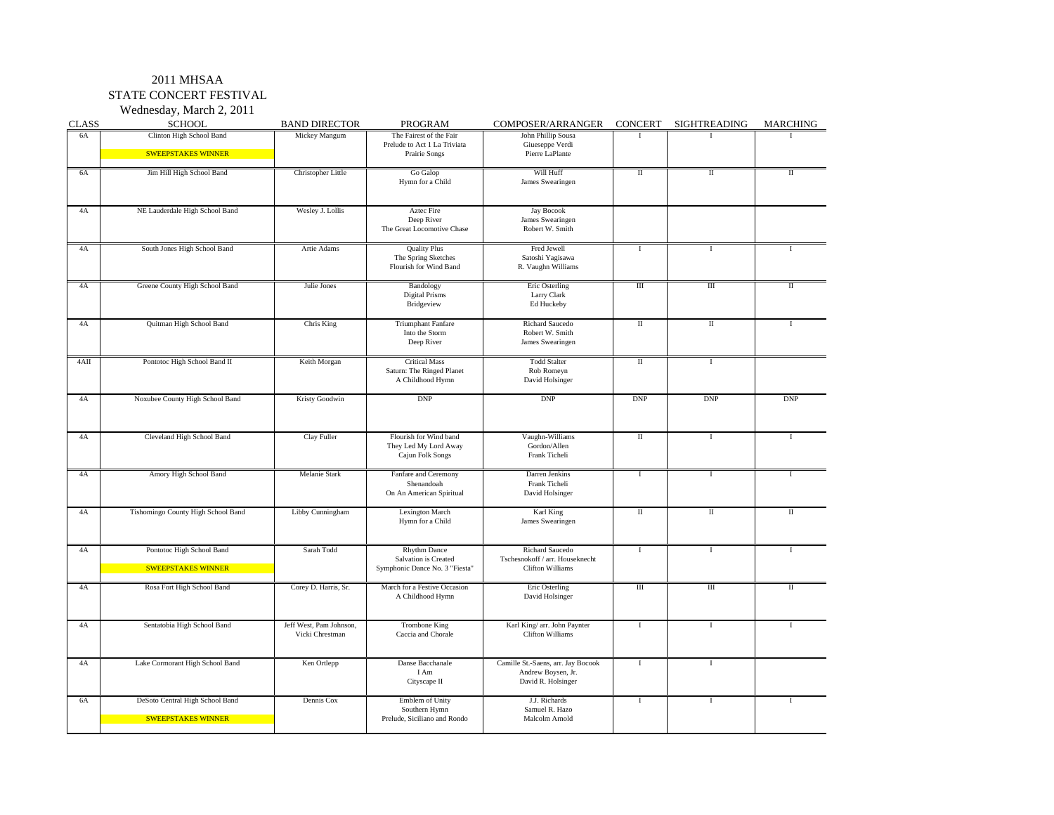Wednesday, March 2, 2011

| <b>CLASS</b> | <b>SCHOOL</b>                                                | <b>BAND DIRECTOR</b>                       | PROGRAM                                                                       | COMPOSER/ARRANGER                                                              | <b>CONCERT</b>          | SIGHTREADING         | MARCHING     |
|--------------|--------------------------------------------------------------|--------------------------------------------|-------------------------------------------------------------------------------|--------------------------------------------------------------------------------|-------------------------|----------------------|--------------|
| 6A           | Clinton High School Band<br><b>SWEEPSTAKES WINNER</b>        | Mickey Mangum                              | The Fairest of the Fair<br>Prelude to Act 1 La Triviata<br>Prairie Songs      | John Phillip Sousa<br>Giueseppe Verdi<br>Pierre LaPlante                       |                         |                      |              |
| 6A           | Jim Hill High School Band                                    | Christopher Little                         | Go Galop<br>Hymn for a Child                                                  | Will Huff<br>James Swearingen                                                  | $\rm II$                | $\scriptstyle\rm II$ | $_{\rm II}$  |
| 4A           | NE Lauderdale High School Band                               | Wesley J. Lollis                           | <b>Aztec Fire</b><br>Deep River<br>The Great Locomotive Chase                 | <b>Jay Bocook</b><br>James Swearingen<br>Robert W. Smith                       |                         |                      |              |
| 4A           | South Jones High School Band                                 | Artie Adams                                | <b>Quality Plus</b><br>The Spring Sketches<br>Flourish for Wind Band          | Fred Jewell<br>Satoshi Yagisawa<br>R. Vaughn Williams                          | <b>I</b>                | 1                    |              |
| 4A           | Greene County High School Band                               | Julie Jones                                | Bandology<br><b>Digital Prisms</b><br>Bridgeview                              | Eric Osterling<br>Larry Clark<br>Ed Huckeby                                    | $\mathbf{I}$            | Ш                    | П            |
| 4A           | Quitman High School Band                                     | Chris King                                 | <b>Triumphant Fanfare</b><br>Into the Storm<br>Deep River                     | Richard Saucedo<br>Robert W. Smith<br>James Swearingen                         | $\rm II$                | $\rm II$             |              |
| 4AII         | Pontotoc High School Band II                                 | Keith Morgan                               | <b>Critical Mass</b><br>Saturn: The Ringed Planet<br>A Childhood Hymn         | <b>Todd Stalter</b><br>Rob Romeyn<br>David Holsinger                           | $\mathbb{I}$            | Τ                    |              |
| 4A           | Noxubee County High School Band                              | Kristy Goodwin                             | <b>DNP</b>                                                                    | <b>DNP</b>                                                                     | <b>DNP</b>              | <b>DNP</b>           | <b>DNP</b>   |
| 4A           | Cleveland High School Band                                   | Clay Fuller                                | Flourish for Wind band<br>They Led My Lord Away<br>Cajun Folk Songs           | Vaughn-Williams<br>Gordon/Allen<br>Frank Ticheli                               | $\overline{\mathbf{u}}$ | т                    | T            |
| 4A           | Amory High School Band                                       | Melanie Stark                              | Fanfare and Ceremony<br>Shenandoah<br>On An American Spiritual                | Darren Jenkins<br>Frank Ticheli<br>David Holsinger                             | $\overline{\mathrm{I}}$ | $\overline{I}$       | $\mathbf{I}$ |
| 4A           | Tishomingo County High School Band                           | Libby Cunningham                           | <b>Lexington March</b><br>Hymn for a Child                                    | Karl King<br>James Swearingen                                                  | $\rm II$                | $\rm{II}$            | П            |
| 4A           | Pontotoc High School Band<br><b>SWEEPSTAKES WINNER</b>       | Sarah Todd                                 | <b>Rhythm Dance</b><br>Salvation is Created<br>Symphonic Dance No. 3 "Fiesta" | Richard Saucedo<br>Tschesnokoff / arr. Houseknecht<br><b>Clifton Williams</b>  | $\mathbf I$             | $\mathbf I$          | T            |
| 4A           | Rosa Fort High School Band                                   | Corey D. Harris, Sr.                       | March for a Festive Occasion<br>A Childhood Hymn                              | Eric Osterling<br>David Holsinger                                              | $\rm III$               | $\rm III$            | $\mathbf{H}$ |
| 4A           | Sentatobia High School Band                                  | Jeff West, Pam Johnson,<br>Vicki Chrestman | Trombone King<br>Caccia and Chorale                                           | Karl King/ arr. John Paynter<br><b>Clifton Williams</b>                        | $\bf{I}$                | $\bf{I}$             |              |
| 4A           | Lake Cormorant High School Band                              | Ken Ortlepp                                | Danse Bacchanale<br>I Am<br>Cityscape II                                      | Camille St.-Saens, arr. Jay Bocook<br>Andrew Boysen, Jr.<br>David R. Holsinger | <b>I</b>                | T                    |              |
| 6A           | DeSoto Central High School Band<br><b>SWEEPSTAKES WINNER</b> | Dennis Cox                                 | Emblem of Unity<br>Southern Hymn<br>Prelude, Siciliano and Rondo              | J.J. Richards<br>Samuel R. Hazo<br>Malcolm Arnold                              | $\rm I$                 | $\mathbf I$          | $\mathbf{I}$ |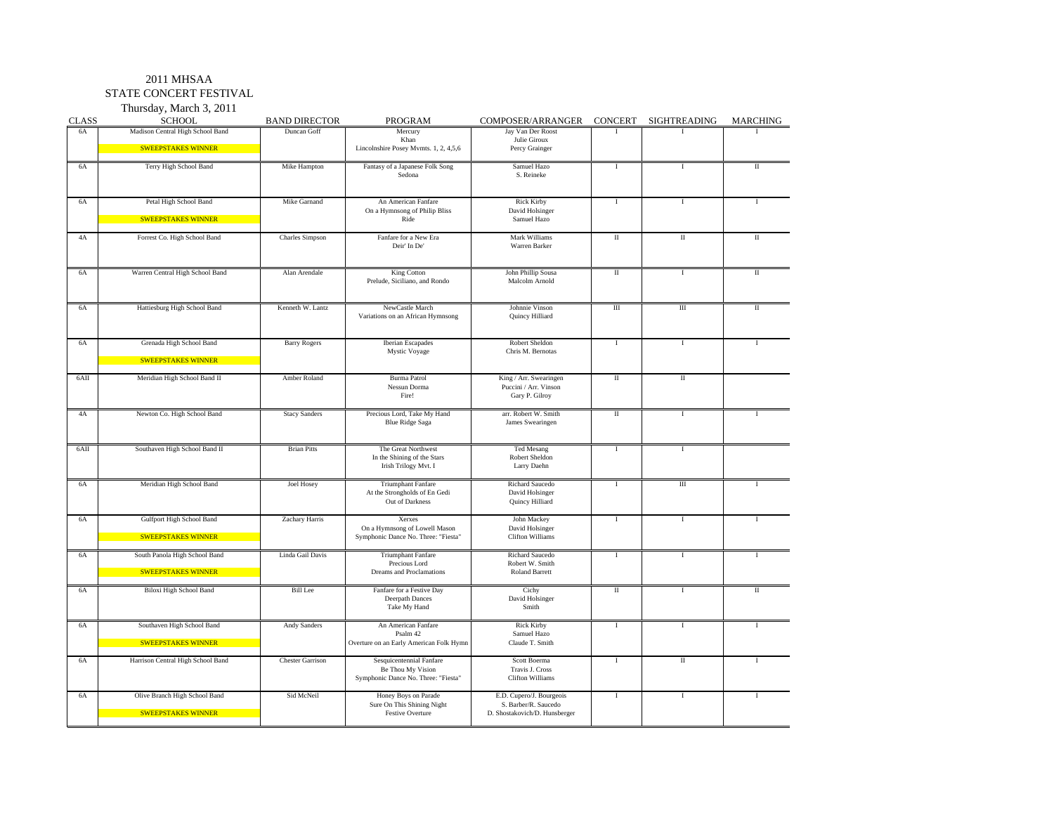#### 2011 MHSAA

STATE CONCERT FESTIVAL

Thursday, March 3, 2011

| <b>CLASS</b> | <b>SCHOOL</b>                                              | <b>BAND DIRECTOR</b>    | PROGRAM                                                                              | COMPOSER/ARRANGER                                                                 | <b>CONCERT</b> | <b>SIGHTREADING</b>      | MARCHING             |
|--------------|------------------------------------------------------------|-------------------------|--------------------------------------------------------------------------------------|-----------------------------------------------------------------------------------|----------------|--------------------------|----------------------|
| <b>6A</b>    | Madison Central High School Band                           | Duncan Goff             | Mercury<br>Khan                                                                      | Jay Van Der Roost<br>Julie Giroux                                                 |                |                          |                      |
|              | <b>SWEEPSTAKES WINNER</b>                                  |                         | Lincolnshire Posey Mymts. 1, 2, 4,5,6                                                | Percy Grainger                                                                    |                |                          |                      |
| 6A           | Terry High School Band                                     | Mike Hampton            | Fantasy of a Japanese Folk Song<br>Sedona                                            | Samuel Hazo<br>S. Reineke                                                         | $\bf{I}$       | $\bf{I}$                 | $_{\rm II}$          |
| 6A           | Petal High School Band<br><b>SWEEPSTAKES WINNER</b>        | Mike Garnand            | An American Fanfare<br>On a Hymnsong of Philip Bliss<br>Ride                         | <b>Rick Kirby</b><br>David Holsinger<br>Samuel Hazo                               | Τ              | т                        |                      |
| 4A           | Forrest Co. High School Band                               | Charles Simpson         | Fanfare for a New Era<br>Deir' In De'                                                | Mark Williams<br>Warren Barker                                                    | $\rm II$       | $\rm{II}$                | $_{\rm H}$           |
| 6A           | Warren Central High School Band                            | Alan Arendale           | King Cotton<br>Prelude, Siciliano, and Rondo                                         | John Phillip Sousa<br>Malcolm Arnold                                              | П              | $\mathbf{I}$             | $\mathbf{I}$         |
| 6A           | Hattiesburg High School Band                               | Kenneth W. Lantz        | NewCastle March<br>Variations on an African Hymnsong                                 | Johnnie Vinson<br>Quincy Hilliard                                                 | Ш              | $\overline{III}$         | $\rm II$             |
| <b>6A</b>    | Grenada High School Band<br><b>SWEEPSTAKES WINNER</b>      | <b>Barry Rogers</b>     | <b>Iberian Escapades</b><br>Mystic Voyage                                            | Robert Sheldon<br>Chris M. Bernotas                                               | $\;$ I         | $\;$ I                   |                      |
| 6AII         | Meridian High School Band II                               | Amber Roland            | <b>Burma Patrol</b><br>Nessun Dorma<br>Fire!                                         | King / Arr. Swearingen<br>Puccini / Arr. Vinson<br>Gary P. Gilroy                 | $\;$ II        | $\rm{II}$                |                      |
| 4A           | Newton Co. High School Band                                | <b>Stacy Sanders</b>    | Precious Lord, Take My Hand<br><b>Blue Ridge Saga</b>                                | arr. Robert W. Smith<br>James Swearingen                                          | $\rm{II}$      | $\bf{I}$                 |                      |
| 6AII         | Southaven High School Band II                              | <b>Brian Pitts</b>      | The Great Northwest<br>In the Shining of the Stars<br>Irish Trilogy Mvt. I           | <b>Ted Mesang</b><br>Robert Sheldon<br>Larry Daehn                                | Τ              | т                        |                      |
| <b>6A</b>    | Meridian High School Band                                  | Joel Hosey              | <b>Triumphant Fanfare</b><br>At the Strongholds of En Gedi<br>Out of Darkness        | Richard Saucedo<br>David Holsinger<br>Quincy Hilliard                             | Τ              | Ш                        |                      |
| 6A           | Gulfport High School Band<br><b>SWEEPSTAKES WINNER</b>     | Zachary Harris          | Xerxes<br>On a Hymnsong of Lowell Mason<br>Symphonic Dance No. Three: "Fiesta"       | John Mackey<br>David Holsinger<br><b>Clifton Williams</b>                         | $\bf{I}$       | 1                        |                      |
| <b>6A</b>    | South Panola High School Band<br><b>SWEEPSTAKES WINNER</b> | Linda Gail Davis        | <b>Triumphant Fanfare</b><br>Precious Lord<br>Dreams and Proclamations               | Richard Saucedo<br>Robert W. Smith<br><b>Roland Barrett</b>                       | Τ              | T                        | $\mathbf{I}$         |
| 6A           | Biloxi High School Band                                    | <b>Bill</b> Lee         | Fanfare for a Festive Day<br>Deerpath Dances<br>Take My Hand                         | Cichy<br>David Holsinger<br>Smith                                                 | $\rm II$       | $\mathbf I$              | $\scriptstyle\rm II$ |
| 6A           | Southaven High School Band<br><b>SWEEPSTAKES WINNER</b>    | <b>Andy Sanders</b>     | An American Fanfare<br>Psalm 42<br>Overture on an Early American Folk Hymn           | <b>Rick Kirby</b><br>Samuel Hazo<br>Claude T. Smith                               | $\bf{I}$       | $\mathbf{I}$             |                      |
| 6A           | Harrison Central High School Band                          | <b>Chester Garrison</b> | Sesquicentennial Fanfare<br>Be Thou My Vision<br>Symphonic Dance No. Three: "Fiesta" | Scott Boerma<br>Travis J. Cross<br>Clifton Williams                               | $\bf{I}$       | $\rm{I}\hspace{-1.2pt}I$ |                      |
| 6A           | Olive Branch High School Band<br><b>SWEEPSTAKES WINNER</b> | Sid McNeil              | Honey Boys on Parade<br>Sure On This Shining Night<br><b>Festive Overture</b>        | E.D. Cupero/J. Bourgeois<br>S. Barber/R. Saucedo<br>D. Shostakovich/D. Hunsberger | Ι.             | $\;$ I                   |                      |